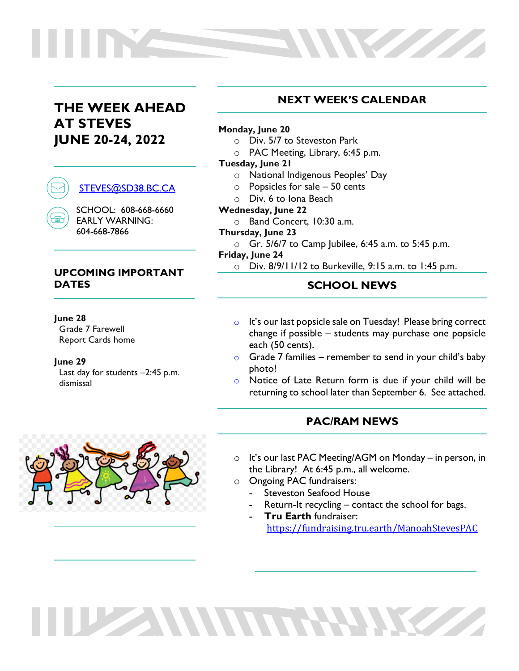# **THE WEEK AHEAD AT STEVES JUNE 20-24, 2022**



SCHOOL: 608-668-6660 EARLY WARNING: 604-668-7866

### **UPCOMING IMPORTANT DATES**

#### **June 28**

Grade 7 Farewell Report Cards home

**June 29**

Last day for students -2:45 p.m. dismissal

# **NEXT WEEK'S CALENDAR**

**Northern** 

#### **Monday, June 20**

- o Div. 5/7 to Steveston Park
- o PAC Meeting, Library, 6:45 p.m.

#### **Tuesday, June 21**

- o National Indigenous Peoples' Day
- o Popsicles for sale 50 cents
- o Div. 6 to Iona Beach

#### **Wednesday, June 22**

o Band Concert, 10:30 a.m.

#### **Thursday, June 23**

 $\circ$  Gr. 5/6/7 to Camp Jubilee, 6:45 a.m. to 5:45 p.m.

#### **Friday, June 24**

o Div. 8/9/11/12 to Burkeville, 9:15 a.m. to 1:45 p.m.

## **SCHOOL NEWS**

- o It's our last popsicle sale on Tuesday! Please bring correct change if possible – students may purchase one popsicle each (50 cents).
- $\circ$  Grade 7 families remember to send in your child's baby photo!
- o Notice of Late Return form is due if your child will be returning to school later than September 6. See attached.

## **PAC/RAM NEWS**

- o It's our last PAC Meeting/AGM on Monday in person, in the Library! At 6:45 p.m., all welcome.
- o Ongoing PAC fundraisers:

THE ANNUARY ME

- Steveston Seafood House
- Return-It recycling contact the school for bags.
- **Tru Earth** fundraiser: <https://fundraising.tru.earth/ManoahStevesPAC>